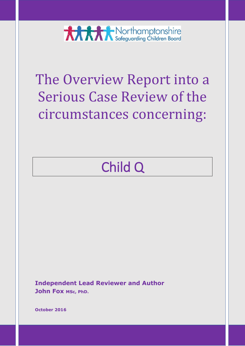**XXXX** Northamptonshire

# The Overview Report into a Serious Case Review of the circumstances concerning:

# Child Q

**Independent Lead Reviewer and Author John Fox MSc, PhD.** 

**October 2016**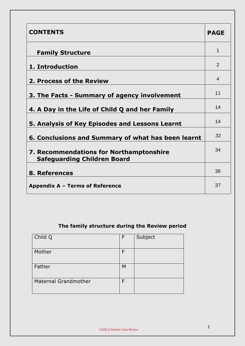| <b>CONTENTS</b>                                                                      | <b>PAGE</b> |
|--------------------------------------------------------------------------------------|-------------|
| <b>Family Structure</b>                                                              | 1           |
| 1. Introduction                                                                      | 2           |
| 2. Process of the Review                                                             | 4           |
| 3. The Facts - Summary of agency involvement                                         | 11          |
| 4. A Day in the Life of Child Q and her Family                                       | 14          |
| 5. Analysis of Key Episodes and Lessons Learnt                                       | 14          |
| 6. Conclusions and Summary of what has been learnt                                   | 32          |
| <b>7. Recommendations for Northamptonshire</b><br><b>Safeguarding Children Board</b> | 34          |
| 8. References                                                                        | 36          |
| Appendix A - Terms of Reference                                                      | 37          |

# **The family structure during the Review period**

| Child Q                     | F | Subject |
|-----------------------------|---|---------|
| Mother                      | F |         |
| Father                      | M |         |
| <b>Maternal Grandmother</b> | E |         |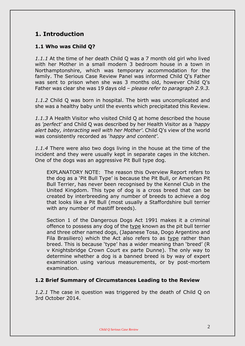# **1. Introduction**

# **1.1 Who was Child Q?**

*1.1.1* At the time of her death Child Q was a 7 month old girl who lived with her Mother in a small modern 3 bedroom house in a town in Northamptonshire, which was temporary accommodation for the family. The Serious Case Review Panel was informed Child Q's Father was sent to prison when she was 3 months old, however Child Q's Father was clear she was 19 days old – *please refer to paragraph 2.9.3.*

*1.1.2* Child Q was born in hospital. The birth was uncomplicated and she was a healthy baby until the events which precipitated this Review.

*1.1.3* A Health Visitor who visited Child Q at home described the house as *'perfect'* and Child Q was described by her Health Visitor as a *'happy alert baby, interacting well with her Mother'.* Child Q's view of the world was consistently recorded as '*happy and content'.*

*1.1.4* There were also two dogs living in the house at the time of the incident and they were usually kept in separate cages in the kitchen. One of the dogs was an aggressive Pit Bull type dog.

EXPLANATORY NOTE: The reason this Overview Report refers to the dog as a 'Pit Bull Type' is because the Pit Bull, or American Pit Bull Terrier, has never been recognised by the Kennel Club in the United Kingdom. This type of dog is a cross breed that can be created by interbreeding any number of breeds to achieve a dog that looks like a Pit Bull (most usually a Staffordshire bull terrier with any number of mastiff breeds).

Section 1 of the Dangerous Dogs Act 1991 makes it a criminal offence to possess any dog of the type known as the pit bull terrier and three other named dogs, (Japanese Tosa, Dogo Argentino and Fila Brasiliero) which the Act also refers to as type rather than breed. This is because 'type' has a wider meaning than 'breed' (R v Knightsbridge Crown Court ex parte Dunne). The only way to determine whether a dog is a banned breed is by way of expert examination using various measurements, or by post-mortem examination.

#### **1.2 Brief Summary of Circumstances Leading to the Review**

*1.2.1* The case in question was triggered by the death of Child Q on 3rd October 2014.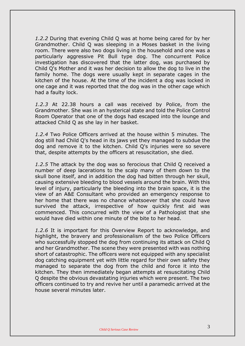*1.2.2* During that evening Child Q was at home being cared for by her Grandmother. Child Q was sleeping in a Moses basket in the living room. There were also two dogs living in the household and one was a particularly aggressive Pit Bull type dog. The concurrent Police investigation has discovered that the latter dog, was purchased by Child Q's Mother and it was her decision to allow the dog to live in the family home. The dogs were usually kept in separate cages in the kitchen of the house. At the time of the incident a dog was locked in one cage and it was reported that the dog was in the other cage which had a faulty lock.

*1.2.3* At 22.38 hours a call was received by Police, from the Grandmother. She was in an hysterical state and told the Police Control Room Operator that one of the dogs had escaped into the lounge and attacked Child Q as she lay in her basket.

*1.2.4* Two Police Officers arrived at the house within 5 minutes. The dog still had Child Q's head in its jaws yet they managed to subdue the dog and remove it to the kitchen. Child Q's injuries were so severe that, despite attempts by the officers at resuscitation, she died.

*1.2.5* The attack by the dog was so ferocious that Child Q received a number of deep lacerations to the scalp many of them down to the skull bone itself, and in addition the dog had bitten through her skull, causing extensive bleeding to blood vessels around the brain. With this level of injury, particularly the bleeding into the brain space, it is the view of an A&E Consultant who provided an emergency response to her home that there was no chance whatsoever that she could have survived the attack, irrespective of how quickly first aid was commenced. This concurred with the view of a Pathologist that she would have died within one minute of the bite to her head.

*1.2.6* It is important for this Overview Report to acknowledge, and highlight, the bravery and professionalism of the two Police Officers who successfully stopped the dog from continuing its attack on Child Q and her Grandmother. The scene they were presented with was nothing short of catastrophic. The officers were not equipped with any specialist dog catching equipment yet with little regard for their own safety they managed to separate the dog from the child and force it into the kitchen. They then immediately began attempts at resuscitating Child Q despite the obvious devastating injuries which were present. The two officers continued to try and revive her until a paramedic arrived at the house several minutes later.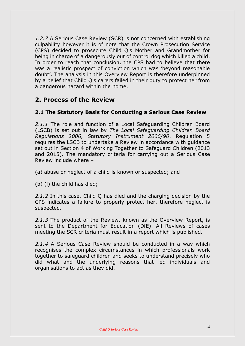*1.2.7* A Serious Case Review (SCR) is not concerned with establishing culpability however it is of note that the Crown Prosecution Service (CPS) decided to prosecute Child Q's Mother and Grandmother for being in charge of a dangerously out of control dog which killed a child. In order to reach that conclusion, the CPS had to believe that there was a realistic prospect of conviction which was 'beyond reasonable doubt'. The analysis in this Overview Report is therefore underpinned by a belief that Child Q's carers failed in their duty to protect her from a dangerous hazard within the home.

# **2. Process of the Review**

## **2.1 The Statutory Basis for Conducting a Serious Case Review**

*2.1.1* The role and function of a Local Safeguarding Children Board (LSCB) is set out in law by *The Local Safeguarding Children Board Regulations 2006, Statutory Instrument 2006/90*. Regulation 5 requires the LSCB to undertake a Review in accordance with guidance set out in Section 4 of Working Together to Safeguard Children (2013 and 2015). The mandatory criteria for carrying out a Serious Case Review include where –

(a) abuse or neglect of a child is known or suspected; and

(b) (i) the child has died;

*2.1.2* In this case, Child Q has died and the charging decision by the CPS indicates a failure to properly protect her, therefore neglect is suspected.

*2.1.3* The product of the Review, known as the Overview Report, is sent to the Department for Education (DfE). All Reviews of cases meeting the SCR criteria must result in a report which is published.

*2.1.4* A Serious Case Review should be conducted in a way which recognises the complex circumstances in which professionals work together to safeguard children and seeks to understand precisely who did what and the underlying reasons that led individuals and organisations to act as they did.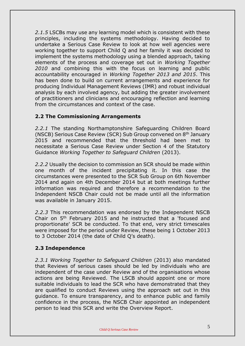*2.1.5* LSCBs may use any learning model which is consistent with these principles, including the systems methodology. Having decided to undertake a Serious Case Review to look at how well agencies were working together to support Child Q and her family it was decided to implement the systems methodology using a blended approach, taking elements of the process and coverage set out in *Working Together 2010* and combining this with the focus on learning and public accountability encouraged in *Working Together 2013 and 2015*. This has been done to build on current arrangements and experience for producing Individual Management Reviews (IMR) and robust individual analysis by each involved agency, but adding the greater involvement of practitioners and clinicians and encouraging reflection and learning from the circumstances and context of the case.

## **2.2 The Commissioning Arrangements**

*2.2.1* The standing Northamptonshire Safeguarding Children Board (NSCB) Serious Case Review (SCR) Sub Group convened on 8<sup>th</sup> January 2015 and recommended that the threshold had been met to necessitate a Serious Case Review under Section 4 of the Statutory Guidance *Working Together to Safeguard Children* (2013).

*2.2.2* Usually the decision to commission an SCR should be made within one month of the incident precipitating it. In this case the circumstances were presented to the SCR Sub Group on 6th November 2014 and again on 4th December 2014 but at both meetings further information was required and therefore a recommendation to the Independent NSCB Chair could not be made until all the information was available in January 2015.

*2.2.3* This recommendation was endorsed by the Independent NSCB Chair on 5<sup>th</sup> February 2015 and he instructed that a 'focused and proportionate' SCR be conducted. To that end, very strict timescales were imposed for the period under Review, these being 1 October 2013 to 3 October 2014 (the date of Child Q's death).

# **2.3 Independence**

*2.3.1 Working Together to Safeguard Children* (2013) also mandated that Reviews of serious cases should be led by individuals who are independent of the case under Review and of the organisations whose actions are being Reviewed. The LSCB should appoint one or more suitable individuals to lead the SCR who have demonstrated that they are qualified to conduct Reviews using the approach set out in this guidance. To ensure transparency, and to enhance public and family confidence in the process, the NSCB Chair appointed an independent person to lead this SCR and write the Overview Report.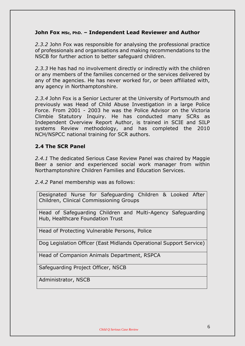#### **John Fox MSc, PhD. – Independent Lead Reviewer and Author**

*2.3.2* John Fox was responsible for analysing the professional practice of professionals and organisations and making recommendations to the NSCB for further action to better safeguard children.

*2.3.3* He has had no involvement directly or indirectly with the children or any members of the families concerned or the services delivered by any of the agencies. He has never worked for, or been affiliated with, any agency in Northamptonshire.

*2.3.4* John Fox is a Senior Lecturer at the University of Portsmouth and previously was Head of Child Abuse Investigation in a large Police Force. From 2001 - 2003 he was the Police Advisor on the Victoria Climbie Statutory Inquiry. He has conducted many SCRs as Independent Overview Report Author, is trained in SCIE and SILP systems Review methodology, and has completed the 2010 NCH/NSPCC national training for SCR authors.

#### **2.4 The SCR Panel**

*2.4.1* The dedicated Serious Case Review Panel was chaired by Maggie Beer a senior and experienced social work manager from within Northamptonshire Children Families and Education Services.

*2.4.2* Panel membership was as follows:

Designated Nurse for Safeguarding Children & Looked After Children, Clinical Commissioning Groups

Head of Safeguarding Children and Multi-Agency Safeguarding Hub, Healthcare Foundation Trust

Head of Protecting Vulnerable Persons, Police

Dog Legislation Officer (East Midlands Operational Support Service)

Head of Companion Animals Department, RSPCA

Safeguarding Project Officer, NSCB

Administrator, NSCB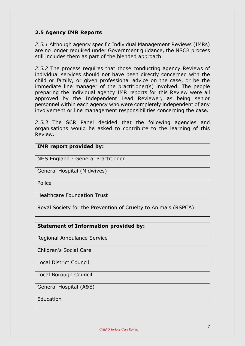# **2.5 Agency IMR Reports**

*2.5.1* Although agency specific Individual Management Reviews (IMRs) are no longer required under Government guidance, the NSCB process still includes them as part of the blended approach.

*2.5.2* The process requires that those conducting agency Reviews of individual services should not have been directly concerned with the child or family, or given professional advice on the case, or be the immediate line manager of the practitioner(s) involved. The people preparing the individual agency IMR reports for this Review were all approved by the Independent Lead Reviewer, as being senior personnel within each agency who were completely independent of any involvement or line management responsibilities concerning the case.

*2.5.3* The SCR Panel decided that the following agencies and organisations would be asked to contribute to the learning of this Review.

#### **IMR report provided by:**

NHS England - General Practitioner

General Hospital (Midwives)

Police

Healthcare Foundation Trust

Royal Society for the Prevention of Cruelty to Animals (RSPCA)

| <b>Statement of Information provided by:</b> |  |
|----------------------------------------------|--|
|----------------------------------------------|--|

Regional Ambulance Service

Children's Social Care

Local District Council

Local Borough Council

General Hospital (A&E)

Education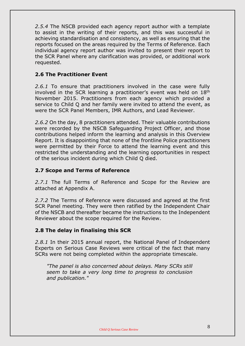*2.5.4* The NSCB provided each agency report author with a template to assist in the writing of their reports, and this was successful in achieving standardisation and consistency, as well as ensuring that the reports focused on the areas required by the Terms of Reference. Each individual agency report author was invited to present their report to the SCR Panel where any clarification was provided, or additional work requested.

### **2.6 The Practitioner Event**

*2.6.1* To ensure that practitioners involved in the case were fully involved in the SCR learning a practitioner's event was held on 18<sup>th</sup> November 2015. Practitioners from each agency which provided a service to Child Q and her family were invited to attend the event, as were the SCR Panel Members, IMR Authors, and Lead Reviewer.

*2.6.2* On the day, 8 practitioners attended. Their valuable contributions were recorded by the NSCB Safeguarding Project Officer, and those contributions helped inform the learning and analysis in this Overview Report. It is disappointing that none of the frontline Police practitioners were permitted by their Force to attend the learning event and this restricted the understanding and the learning opportunities in respect of the serious incident during which Child Q died.

#### **2.7 Scope and Terms of Reference**

*2.7.1* The full Terms of Reference and Scope for the Review are attached at Appendix A.

*2.7.2* The Terms of Reference were discussed and agreed at the first SCR Panel meeting. They were then ratified by the Independent Chair of the NSCB and thereafter became the instructions to the Independent Reviewer about the scope required for the Review.

#### **2.8 The delay in finalising this SCR**

*2.8.1* In their 2015 annual report, the National Panel of Independent Experts on Serious Case Reviews were critical of the fact that many SCRs were not being completed within the appropriate timescale.

*"The panel is also concerned about delays. Many SCRs still seem to take a very long time to progress to conclusion and publication."*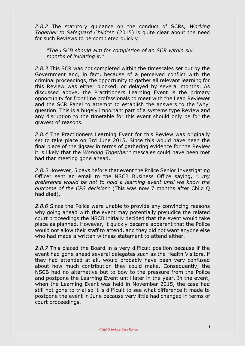*2.8.2* The statutory guidance on the conduct of SCRs, *Working Together to Safeguard Children* (2015) is quite clear about the need for such Reviews to be completed quickly:

*"The LSCB should aim for completion of an SCR within six months of initiating it."*

*2.8.3* This SCR was not completed within the timescales set out by the Government and, in fact, because of a perceived conflict with the criminal proceedings, the opportunity to gather all relevant learning for this Review was either blocked, or delayed by several months. As discussed above, the Practitioners Learning Event is the primary opportunity for front line professionals to meet with the Lead Reviewer and the SCR Panel to attempt to establish the answers to the 'why' question. This is a hugely important part of a systems type Review and any disruption to the timetable for this event should only be for the gravest of reasons.

*2.8.4* The Practitioners Learning Event for this Review was originally set to take place on 3rd June 2015. Since this would have been the final piece of the jigsaw in terms of gathering evidence for the Review it is likely that the *Working Together* timescales could have been met had that meeting gone ahead.

*2.8.5* However, 5 days before that event the Police Senior Investigating Officer sent an email to the NSCB Business Office saying, *"…my preference would be not to hold a learning event until we know the outcome of the CPS decision"* (This was now 7 months after Child Q had died).

*2.8.6* Since the Police were unable to provide any convincing reasons why going ahead with the event may potentially prejudice the related court proceedings the NSCB initially decided that the event would take place as planned. However, it quickly became apparent that the Police would not allow their staff to attend, and they did not want anyone else who had made a written witness statement to attend either.

*2.8.7* This placed the Board in a very difficult position because if the event had gone ahead several delegates such as the Health Visitors, if they had attended at all, would probably have been very confused about how much contribution they could make. Consequently, the NSCB had no alternative but to bow to the pressure from the Police and postpone the Learning Event until later in the year. In the event, when the Learning Event was held in November 2015, the case had still not gone to trial so it is difficult to see what difference it made to postpone the event in June because very little had changed in terms of court proceedings.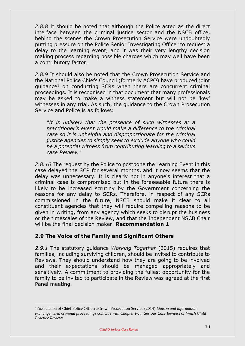*2.8.8* It should be noted that although the Police acted as the direct interface between the criminal justice sector and the NSCB office, behind the scenes the Crown Prosecution Service were undoubtedly putting pressure on the Police Senior Investigating Officer to request a delay to the learning event, and it was their very lengthy decision making process regarding possible charges which may well have been a contributory factor.

*2.8.9* It should also be noted that the Crown Prosecution Service and the National Police Chiefs Council (formerly ACPO) have produced joint guidance<sup>1</sup> on conducting SCRs when there are concurrent criminal proceedings. It is recognised in that document that many professionals may be asked to make a witness statement but will not be 'key' witnesses in any trial. As such, the guidance to the Crown Prosecution Service and Police is as follows:

*"It is unlikely that the presence of such witnesses at a practitioner's event would make a difference to the criminal case so it is unhelpful and disproportionate for the criminal justice agencies to simply seek to exclude anyone who could be a potential witness from contributing learning to a serious case Review."*

*2.8.10* The request by the Police to postpone the Learning Event in this case delayed the SCR for several months, and it now seems that the delay was unnecessary. It is clearly not in anyone's interest that a criminal case is compromised but in the foreseeable future there is likely to be increased scrutiny by the Government concerning the reasons for any delay to SCRs. Therefore, in respect of any SCRs commissioned in the future, NSCB should make it clear to all constituent agencies that they will require compelling reasons to be given in writing, from any agency which seeks to disrupt the business or the timescales of the Review, and that the Independent NSCB Chair will be the final decision maker. **Recommendation 1**

# **2.9 The Voice of the Family and Significant Others**

*2.9.1* The statutory guidance *Working Together* (2015) requires that families, including surviving children, should be invited to contribute to Reviews. They should understand how they are going to be involved and their expectations should be managed appropriately and sensitively. A commitment to providing the fullest opportunity for the family to be invited to participate in the Review was agreed at the first Panel meeting.

<sup>&</sup>lt;u>.</u> <sup>1</sup> Association of Chief Police Officers/Crown Prosecution Service (2014) *Liaison and information exchange when criminal proceedings coincide with Chapter Four Serious Case Reviews or Welsh Child Practice Reviews*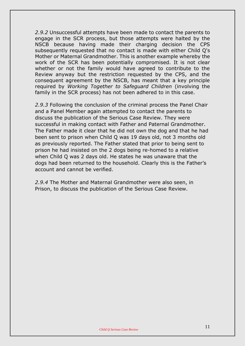*2.9.2* Unsuccessful attempts have been made to contact the parents to engage in the SCR process, but those attempts were halted by the NSCB because having made their charging decision the CPS subsequently requested that no contact is made with either Child Q's Mother or Maternal Grandmother. This is another example whereby the work of the SCR has been potentially compromised. It is not clear whether or not the family would have agreed to contribute to the Review anyway but the restriction requested by the CPS, and the consequent agreement by the NSCB, has meant that a key principle required by *Working Together to Safeguard Children* (involving the family in the SCR process) has not been adhered to in this case.

*2.9.3* Following the conclusion of the criminal process the Panel Chair and a Panel Member again attempted to contact the parents to discuss the publication of the Serious Case Review. They were successful in making contact with Father and Paternal Grandmother. The Father made it clear that he did not own the dog and that he had been sent to prison when Child Q was 19 days old, not 3 months old as previously reported. The Father stated that prior to being sent to prison he had insisted on the 2 dogs being re-homed to a relative when Child Q was 2 days old. He states he was unaware that the dogs had been returned to the household. Clearly this is the Father's account and cannot be verified.

*2.9.4* The Mother and Maternal Grandmother were also seen, in Prison, to discuss the publication of the Serious Case Review.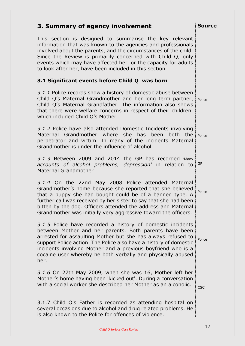| 3. Summary of agency involvement                                                                                                                                                                                                                                                                                                                                                                 | <b>Source</b> |
|--------------------------------------------------------------------------------------------------------------------------------------------------------------------------------------------------------------------------------------------------------------------------------------------------------------------------------------------------------------------------------------------------|---------------|
| This section is designed to summarise the key relevant<br>information that was known to the agencies and professionals<br>involved about the parents, and the circumstances of the child.<br>Since the Review is primarily concerned with Child Q, only<br>events which may have affected her, or the capacity for adults<br>to look after her, have been included in this section.              |               |
| 3.1 Significant events before Child Q was born                                                                                                                                                                                                                                                                                                                                                   |               |
| 3.1.1 Police records show a history of domestic abuse between<br>Child Q's Maternal Grandmother and her long term partner,<br>Child Q's Maternal Grandfather. The information also shows<br>that there were welfare concerns in respect of their children,<br>which included Child Q's Mother.                                                                                                   | Police        |
| 3.1.2 Police have also attended Domestic Incidents involving<br>Maternal Grandmother where she has been both the<br>perpetrator and victim. In many of the incidents Maternal<br>Grandmother is under the influence of alcohol.                                                                                                                                                                  | Police        |
| 3.1.3 Between 2009 and 2014 the GP has recorded Many<br>accounts of alcohol problems, depression' in relation to<br>Maternal Grandmother.                                                                                                                                                                                                                                                        | GP            |
| 3.1.4 On the 22nd May 2008 Police attended Maternal<br>Grandmother's home because she reported that she believed<br>that a puppy she had bought could be of a banned type. A<br>further call was received by her sister to say that she had been<br>bitten by the dog. Officers attended the address and Maternal<br>Grandmother was initially very aggressive toward the officers.              | Police        |
| 3.1.5 Police have recorded a history of domestic incidents<br>between Mother and her parents. Both parents have been<br>arrested for assaulting Mother but she has always refused to<br>support Police action. The Police also have a history of domestic<br>incidents involving Mother and a previous boyfriend who is a<br>cocaine user whereby he both verbally and physically abused<br>her. | Police        |
| 3.1.6 On 27th May 2009, when she was 16, Mother left her<br>Mother's home having been 'kicked out'. During a conversation<br>with a social worker she described her Mother as an alcoholic.                                                                                                                                                                                                      | <b>CSC</b>    |
| 3.1.7 Child Q's Father is recorded as attending hospital on<br>several occasions due to alcohol and drug related problems. He<br>is also known to the Police for offences of violence.                                                                                                                                                                                                           |               |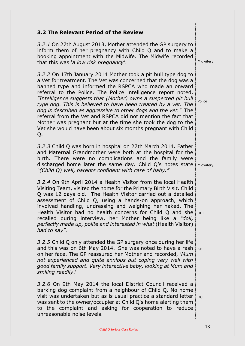| 3.2 The Relevant Period of the Review                                                                                                                                                                                                                                                                                                                                                                                                                                                                                                                                                                                                                               |            |
|---------------------------------------------------------------------------------------------------------------------------------------------------------------------------------------------------------------------------------------------------------------------------------------------------------------------------------------------------------------------------------------------------------------------------------------------------------------------------------------------------------------------------------------------------------------------------------------------------------------------------------------------------------------------|------------|
| 3.2.1 On 27th August 2013, Mother attended the GP surgery to<br>inform them of her pregnancy with Child Q and to make a<br>booking appointment with the Midwife. The Midwife recorded<br>that this was 'a low risk pregnancy'.                                                                                                                                                                                                                                                                                                                                                                                                                                      | Midwifery  |
| 3.2.2 On 17th January 2014 Mother took a pit bull type dog to<br>a Vet for treatment. The Vet was concerned that the dog was a<br>banned type and informed the RSPCA who made an onward<br>referral to the Police. The Police intelligence report noted,<br>"Intelligence suggests that (Mother) owns a suspected pit bull<br>type dog. This is believed to have been treated by a vet. The<br>dog is described as aggressive to other dogs and the vet." The<br>referral from the Vet and RSPCA did not mention the fact that<br>Mother was pregnant but at the time she took the dog to the<br>Vet she would have been about six months pregnant with Child<br>Q. | Police     |
| 3.2.3 Child Q was born in hospital on 27th March 2014. Father<br>and Maternal Grandmother were both at the hospital for the<br>birth. There were no complications and the family were<br>discharged home later the same day. Child Q's notes state<br>"(Child Q) well, parents confident with care of baby."                                                                                                                                                                                                                                                                                                                                                        | Midwifery  |
| 3.2.4 On 9th April 2014 a Health Visitor from the local Health<br>Visiting Team, visited the home for the Primary Birth Visit. Child<br>Q was 12 days old. The Health Visitor carried out a detailed<br>assessment of Child Q, using a hands-on approach, which<br>involved handling, undressing and weighing her naked. The<br>Health Visitor had no health concerns for Child Q and she<br>recalled during interview, her Mother being like a "doll,<br>perfectly made up, polite and interested in what (Health Visitor)<br>had to say".                                                                                                                         | <b>HFT</b> |
| 3.2.5 Child Q only attended the GP surgery once during her life<br>and this was on 6th May 2014. She was noted to have a rash<br>on her face. The GP reassured her Mother and recorded, 'Mum<br>not experienced and quite anxious but coping very well with<br>good family support. Very interactive baby, looking at Mum and<br>smiling readily.'                                                                                                                                                                                                                                                                                                                  | GP         |
| 3.2.6 On 9th May 2014 the local District Council received a<br>barking dog complaint from a neighbour of Child Q. No home<br>visit was undertaken but as is usual practice a standard letter<br>was sent to the owner/occupier at Child Q's home alerting them<br>to the complaint and asking for cooperation to reduce<br>unreasonable noise levels.                                                                                                                                                                                                                                                                                                               | <b>DC</b>  |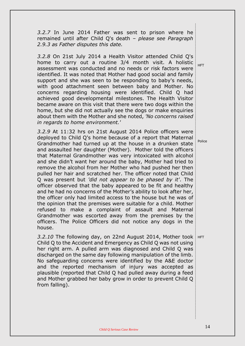*3.2.7* In June 2014 Father was sent to prison where he remained until after Child Q's death *– please see Paragraph 2.9.3 as Father disputes this date.*

*3.2.8* On 21st July 2014 a Health Visitor attended Child Q's home to carry out a routine 3/4 month visit. A holistic assessment was conducted and no needs or risk factors were identified. It was noted that Mother had good social and family support and she was seen to be responding to baby's needs, with good attachment seen between baby and Mother. No concerns regarding housing were identified. Child Q had achieved good developmental milestones. The Health Visitor became aware on this visit that there were two dogs within the home, but she did not actually see the dogs or make enquiries about them with the Mother and she noted, *'No concerns raised in regards to home environment.'*

*3.2.9* At 11:32 hrs on 21st August 2014 Police officers were deployed to Child Q's home because of a report that Maternal Grandmother had turned up at the house in a drunken state and assaulted her daughter (Mother). Mother told the officers that Maternal Grandmother was very intoxicated with alcohol and she didn't want her around the baby, Mother had tried to remove the alcohol from her Mother who had pushed her then pulled her hair and scratched her. The officer noted that Child Q was present but *'did not appear to be phased by it'*. The officer observed that the baby appeared to be fit and healthy and he had no concerns of the Mother's ability to look after her, the officer only had limited access to the house but he was of the opinion that the premises were suitable for a child. Mother refused to make a complaint of assault and Maternal Grandmother was escorted away from the premises by the officers. The Police Officers did not notice any dogs in the house.

3.2.10 The following day, on 22nd August 2014, Mother took | HFT Child Q to the Accident and Emergency as Child Q was not using her right arm. A pulled arm was diagnosed and Child Q was discharged on the same day following manipulation of the limb. No safeguarding concerns were identified by the A&E doctor and the reported mechanism of injury was accepted as plausible (reported that Child Q had pulled away during a feed and Mother grabbed her baby grow in order to prevent Child Q from falling).

HFT

Police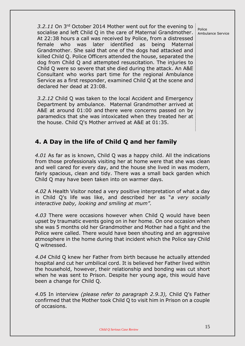*3.2.11* On 3rd October 2014 Mother went out for the evening to socialise and left Child Q in the care of Maternal Grandmother. At 22:38 hours a call was received by Police, from a distressed female who was later identified as being Maternal Grandmother. She said that one of the dogs had attacked and killed Child Q. Police Officers attended the house, separated the dog from Child Q and attempted resuscitation. The injuries to Child Q were so severe that she died during the attack. An A&E Consultant who works part time for the regional Ambulance Service as a first responder, examined Child Q at the scene and declared her dead at 23:08.

*3.2.12* Child Q was taken to the local Accident and Emergency Department by ambulance. Maternal Grandmother arrived at A&E at around 01:00 and there were concerns passed on by paramedics that she was intoxicated when they treated her at the house. Child Q's Mother arrived at A&E at 01:35.

# **4. A Day in the life of Child Q and her family**

*4.01* As far as is known, Child Q was a happy child. All the indications from those professionals visiting her at home were that she was clean and well cared for every day, and the house she lived in was modern, fairly spacious, clean and tidy. There was a small back garden which Child Q may have been taken into on warmer days.

*4.02* A Health Visitor noted a very positive interpretation of what a day in Child Q's life was like, and described her as "*a very socially interactive baby, looking and smiling at mum".*

*4.03* There were occasions however when Child Q would have been upset by traumatic events going on in her home. On one occasion when she was 5 months old her Grandmother and Mother had a fight and the Police were called. There would have been shouting and an aggressive atmosphere in the home during that incident which the Police say Child Q witnessed.

*4.04* Child Q knew her Father from birth because he actually attended hospital and cut her umbilical cord. It is believed her Father lived within the household, however, their relationship and bonding was cut short when he was sent to Prison. Despite her young age, this would have been a change for Child Q.

*4*.05 In interview *(please refer to paragraph 2.9.3),* Child Q's Father confirmed that the Mother took Child Q to visit him in Prison on a couple of occasions.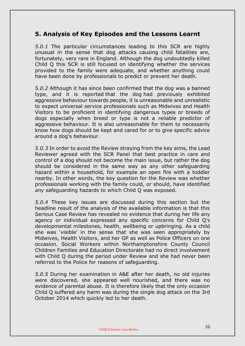# **5. Analysis of Key Episodes and the Lessons Learnt**

*5.0.1* The particular circumstances leading to this SCR are highly unusual in the sense that dog attacks causing child fatalities are, fortunately, very rare in England. Although the dog undoubtedly killed Child Q this SCR is still focused on identifying whether the services provided to the family were adequate, and whether anything could have been done by professionals to predict or prevent her death.

*5.0.2* Although it has since been confirmed that the dog was a banned type, and it is reported that the dog had previously exhibited aggressive behaviour towards people, it is unreasonable and unrealistic to expect universal service professionals such as Midwives and Health Visitors to be proficient in identifying dangerous types or breeds of dogs especially when breed or type is not a reliable predictor of aggressive behaviour. It is also unreasonable for them to necessarily know how dogs should be kept and cared for or to give specific advice around a dog's behaviour.

*5.0.3* In order to avoid the Review straying from the key aims, the Lead Reviewer agreed with the SCR Panel that best practice in care and control of a dog should not become the main issue, but rather the dog should be considered in the same way as any other safeguarding hazard within a household, for example an open fire with a toddler nearby. In other words, the key question for the Review was whether professionals working with the family could, or should, have identified *any* safeguarding hazards to which Child Q was exposed.

*5.0.4* These key issues are discussed during this section but the headline result of the analysis of the available information is that this Serious Case Review has revealed no evidence that during her life any agency or individual expressed any specific concerns for Child Q's developmental milestones, health, wellbeing or upbringing. As a child she was 'visible' in the sense that she was seen appropriately by Midwives, Health Visitors, and her GP as well as Police Officers on one occasion. Social Workers within Northamptonshire County Council Children Families and Education Directorate had no direct involvement with Child Q during the period under Review and she had never been referred to the Police for reasons of safeguarding.

*5.0.5* During her examination in A&E after her death, no old injuries were discovered, she appeared well nourished, and there was no evidence of parental abuse. It is therefore likely that the only occasion Child Q suffered any harm was during the single dog attack on the 3rd October 2014 which quickly led to her death.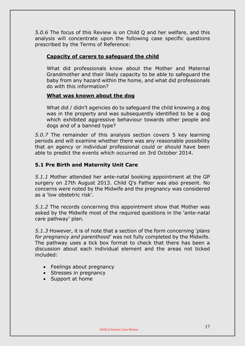*5.0.6* The focus of this Review is on Child Q and her welfare, and this analysis will concentrate upon the following case specific questions prescribed by the Terms of Reference:

# **Capacity of carers to safeguard the child**

What did professionals know about the Mother and Maternal Grandmother and their likely capacity to be able to safeguard the baby from any hazard within the home, and what did professionals do with this information?

# **What was known about the dog**

What did / didn't agencies do to safeguard the child knowing a dog was in the property and was subsequently identified to be a dog which exhibited aggressive behaviour towards other people and dogs and of a banned type?

*5.0.7* The remainder of this analysis section covers 5 key learning periods and will examine whether there was any reasonable possibility that an agency or individual professional could or should have been able to predict the events which occurred on 3rd October 2014.

# **5.1 Pre Birth and Maternity Unit Care**

*5.1.1* Mother attended her ante-natal booking appointment at the GP surgery on 27th August 2013. Child Q's Father was also present. No concerns were noted by the Midwife and the pregnancy was considered as a 'low obstetric risk'.

*5.1.2* The records concerning this appointment show that Mother was asked by the Midwife most of the required questions in the 'ante-natal care pathway' plan.

*5.1.3* However, it is of note that a section of the form concerning '*plans for pregnancy and parenthood'* was not fully completed by the Midwife. The pathway uses a tick box format to check that there has been a discussion about each individual element and the areas not ticked included:

- Feelings about pregnancy
- Stresses in pregnancy
- Support at home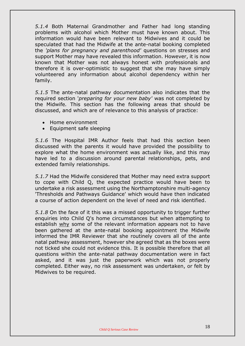*5.1.4* Both Maternal Grandmother and Father had long standing problems with alcohol which Mother must have known about. This information would have been relevant to Midwives and it could be speculated that had the Midwife at the ante-natal booking completed the *'plans for pregnancy and parenthood'* questions on stresses and support Mother may have revealed this information. However, it is now known that Mother was not always honest with professionals and therefore it is over-optimistic to suggest that she may have simply volunteered any information about alcohol dependency within her family.

*5.1.5* The ante-natal pathway documentation also indicates that the required section '*preparing for your new baby'* was not completed by the Midwife*.* This section has the following areas that should be discussed, and which are of relevance to this analysis of practice:

- Home environment
- Equipment safe sleeping

*5.1.6* The Hospital IMR Author feels that had this section been discussed with the parents it would have provided the possibility to explore what the home environment was actually like, and this may have led to a discussion around parental relationships, pets, and extended family relationships.

*5.1.7* Had the Midwife considered that Mother may need extra support to cope with Child Q, the expected practice would have been to undertake a risk assessment using the Northamptonshire multi-agency 'Thresholds and Pathways Guidance' which would have then indicated a course of action dependent on the level of need and risk identified.

*5.1.8* On the face of it this was a missed opportunity to trigger further enquiries into Child Q's home circumstances but when attempting to establish why some of the relevant information appears not to have been gathered at the ante-natal booking appointment the Midwife informed the IMR Reviewer that she routinely covers all of the ante natal pathway assessment, however she agreed that as the boxes were not ticked she could not evidence this. It is possible therefore that all questions within the ante-natal pathway documentation were in fact asked, and it was just the paperwork which was not properly completed. Either way, no risk assessment was undertaken, or felt by Midwives to be required.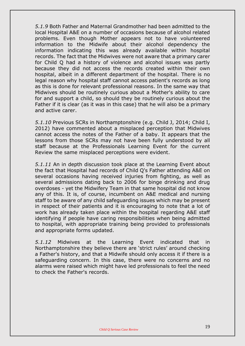*5.1.9* Both Father and Maternal Grandmother had been admitted to the local Hospital A&E on a number of occasions because of alcohol related problems. Even though Mother appears not to have volunteered information to the Midwife about their alcohol dependency the information indicating this was already available within hospital records. The fact that the Midwives were not aware that a primary carer for Child Q had a history of violence and alcohol issues was partly because they did not access the records created within their own hospital, albeit in a different department of the hospital. There is no legal reason why hospital staff cannot access patient's records as long as this is done for relevant professional reasons. In the same way that Midwives should be routinely curious about a Mother's ability to care for and support a child, so should they be routinely curious about the Father if it is clear (as it was in this case) that he will also be a primary and active carer.

*5.1.10* Previous SCRs in Northamptonshire (e.g. Child J, 2014; Child I, 2012) have commented about a misplaced perception that Midwives cannot access the notes of the Father of a baby. It appears that the lessons from those SCRs may not have been fully understood by all staff because at the Professionals Learning Event for the current Review the same misplaced perceptions were evident.

*5.1.11* An in depth discussion took place at the Learning Event about the fact that Hospital had records of Child Q's Father attending A&E on several occasions having received injuries from fighting, as well as several admissions dating back to 2006 for binge drinking and drug overdoses - yet the Midwifery Team in that same hospital did not know any of this. It is, of course, incumbent on A&E medical and nursing staff to be aware of any child safeguarding issues which may be present in respect of their patients and it is encouraging to note that a lot of work has already taken place within the hospital regarding A&E staff identifying if people have caring responsibilities when being admitted to hospital, with appropriate training being provided to professionals and appropriate forms updated.

*5.1.12* Midwives at the Learning Event indicated that in Northamptonshire they believe there are 'strict rules' around checking a Father's history, and that a Midwife should only access it if there is a safeguarding concern. In this case, there were no concerns and no alarms were raised which might have led professionals to feel the need to check the Father's records.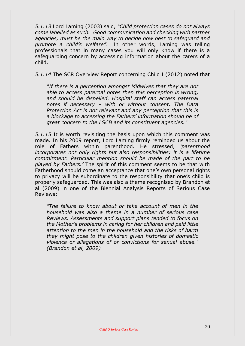*5.1.13* Lord Laming (2003) said, *"Child protection cases do not always come labelled as such. Good communication and checking with partner agencies, must be the main way to decide how best to safeguard and promote a child's welfare"*. In other words, Laming was telling professionals that in many cases you will only know if there is a safeguarding concern by accessing information about the carers of a child.

*5.1.14* The SCR Overview Report concerning Child I (2012) noted that

*"If there is a perception amongst Midwives that they are not able to access paternal notes then this perception is wrong, and should be dispelled. Hospital staff can access paternal notes if necessary – with or without consent. The Data Protection Act is not relevant and any perception that this is a blockage to accessing the Fathers' information should be of great concern to the LSCB and its constituent agencies."*

*5.1.15* It is worth revisiting the basis upon which this comment was made. In his 2009 report, Lord Laming firmly reminded us about the role of Fathers within parenthood. He stressed, *'parenthood incorporates not only rights but also responsibilities: it is a lifetime commitment. Particular mention should be made of the part to be played by Fathers.'* The spirit of this comment seems to be that with Fatherhood should come an acceptance that one's own personal rights to privacy will be subordinate to the responsibility that one's child is properly safeguarded. This was also a theme recognised by Brandon et al (2009) in one of the Biennial Analysis Reports of Serious Case Reviews:

*"The failure to know about or take account of men in the household was also a theme in a number of serious case Reviews. Assessments and support plans tended to focus on the Mother's problems in caring for her children and paid little attention to the men in the household and the risks of harm they might pose to the children given histories of domestic violence or allegations of or convictions for sexual abuse." (Brandon et al, 2009)*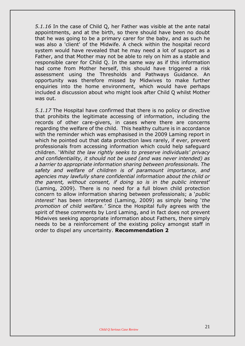*5.1.16* In the case of Child Q, her Father was visible at the ante natal appointments, and at the birth, so there should have been no doubt that he was going to be a primary carer for the baby, and as such he was also a 'client' of the Midwife. A check within the hospital record system would have revealed that he may need a lot of support as a Father, and that Mother may not be able to rely on him as a stable and responsible carer for Child Q. In the same way as if this information had come from Mother herself, this should have triggered a risk assessment using the Thresholds and Pathways Guidance. An opportunity was therefore missed by Midwives to make further enquiries into the home environment, which would have perhaps included a discussion about who might look after Child Q whilst Mother was out.

*5.1.17* The Hospital have confirmed that there is no policy or directive that prohibits the legitimate accessing of information, including the records of other care-givers, in cases where there are concerns regarding the welfare of the child. This healthy culture is in accordance with the reminder which was emphasised in the 2009 Laming report in which he pointed out that data protection laws rarely, if ever, prevent professionals from accessing information which could help safeguard children. '*Whilst the law rightly seeks to preserve individuals' privacy and confidentiality, it should not be used (and was never intended) as a barrier to appropriate information sharing between professionals. The safety and welfare of children is of paramount importance, and agencies may lawfully share confidential information about the child or the parent, without consent, if doing so is in the public interest*' (Laming, 2009). There is no need for a full blown child protection concern to allow information sharing between professionals; a '*public interest'* has been interpreted (Laming, 2009) as simply being '*the promotion of child welfare.'* Since the Hospital fully agrees with the spirit of these comments by Lord Laming, and in fact does not prevent Midwives seeking appropriate information about Fathers, there simply needs to be a reinforcement of the existing policy amongst staff in order to dispel any uncertainty. **Recommendation 2**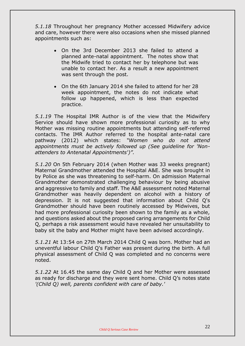*5.1.18* Throughout her pregnancy Mother accessed Midwifery advice and care, however there were also occasions when she missed planned appointments such as:

- On the 3rd December 2013 she failed to attend a planned ante-natal appointment. The notes show that the Midwife tried to contact her by telephone but was unable to contact her. As a result a new appointment was sent through the post.
- On the 6th January 2014 she failed to attend for her 28 week appointment, the notes do not indicate what follow up happened, which is less than expected practice.

*5.1.19* The Hospital IMR Author is of the view that the Midwifery Service should have shown more professional curiosity as to why Mother was missing routine appointments but attending self-referred contacts. The IMR Author referred to the hospital ante-natal care pathway (2012) which states: *"Women who do not attend appointments must be actively followed up (See guideline for 'Nonattenders to Antenatal Appointments')".*

*5.1.20* On 5th February 2014 (when Mother was 33 weeks pregnant) Maternal Grandmother attended the Hospital A&E. She was brought in by Police as she was threatening to self-harm. On admission Maternal Grandmother demonstrated challenging behaviour by being abusive and aggressive to family and staff. The A&E assessment noted Maternal Grandmother was heavily dependent on alcohol with a history of depression. It is not suggested that information about Child Q's Grandmother should have been routinely accessed by Midwives, but had more professional curiosity been shown to the family as a whole, and questions asked about the proposed caring arrangements for Child Q, perhaps a risk assessment would have revealed her unsuitability to baby sit the baby and Mother might have been advised accordingly.

*5.1.21* At 13:54 on 27th March 2014 Child Q was born. Mother had an uneventful labour Child Q's Father was present during the birth. A full physical assessment of Child Q was completed and no concerns were noted.

*5.1.22* At 16.45 the same day Child Q and her Mother were assessed as ready for discharge and they were sent home. Child Q's notes state *'(Child Q) well, parents confident with care of baby.'*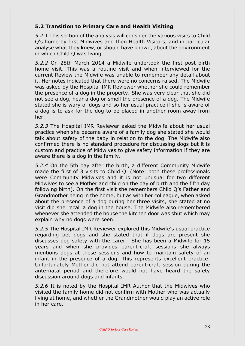# **5.2 Transition to Primary Care and Health Visiting**

*5.2.1* This section of the analysis will consider the various visits to Child Q's home by first Midwives and then Health Visitors, and in particular analyse what they knew, or should have known, about the environment in which Child Q was living.

*5.2.2* On 28th March 2014 a Midwife undertook the first post birth home visit. This was a routine visit and when interviewed for the current Review the Midwife was unable to remember any detail about it. Her notes indicated that there were no concerns raised. The Midwife was asked by the Hospital IMR Reviewer whether she could remember the presence of a dog in the property. She was very clear that she did not see a dog, hear a dog or smell the presence of a dog. The Midwife stated she is wary of dogs and so her usual practice if she is aware of a dog is to ask for the dog to be placed in another room away from her.

*5.2.3* The Hospital IMR Reviewer asked the Midwife about her usual practice when she became aware of a family dog she stated she would talk about safety of the baby in relation to the dog. The Midwife also confirmed there is no standard procedure for discussing dogs but it is custom and practice of Midwives to give safety information if they are aware there is a dog in the family.

*5.2.4* On the 5th day after the birth, a different Community Midwife made the first of 3 visits to Child Q. (Note: both these professionals were Community Midwives and it is not unusual for two different Midwives to see a Mother and child on the day of birth and the fifth day following birth). On the first visit she remembers Child Q's Father and Grandmother being in the home, but as with her colleague, when asked about the presence of a dog during her three visits, she stated at no visit did she recall a dog in the house. The Midwife also remembered whenever she attended the house the kitchen door was shut which may explain why no dogs were seen.

*5.2.5* The Hospital IMR Reviewer explored this Midwife's usual practice regarding pet dogs and she stated that if dogs are present she discusses dog safety with the carer. She has been a Midwife for 15 years and when she provides parent-craft sessions she always mentions dogs at these sessions and how to maintain safety of an infant in the presence of a dog. This represents excellent practice. Unfortunately Mother did not attend parent-craft session during the ante-natal period and therefore would not have heard the safety discussion around dogs and infants.

*5.2.6* It is noted by the Hospital IMR Author that the Midwives who visited the family home did not confirm with Mother who was actually living at home, and whether the Grandmother would play an active role in her care.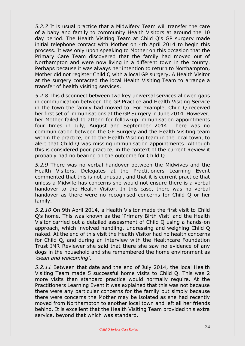*5.2.7* It is usual practice that a Midwifery Team will transfer the care of a baby and family to community Health Visitors at around the 10 day period. The Health Visiting Team at Child Q's GP surgery made initial telephone contact with Mother on 4th April 2014 to begin this process. It was only upon speaking to Mother on this occasion that the Primary Care Team discovered that the family had moved out of Northampton and were now living in a different town in the county. Perhaps because it was always her intention to return to Northampton, Mother did not register Child Q with a local GP surgery. A Health Visitor at the surgery contacted the local Health Visiting Team to arrange a transfer of health visiting services.

*5.2.8* This disconnect between two key universal services allowed gaps in communication between the GP Practice and Health Visiting Service in the town the family had moved to. For example, Child Q received her first set of immunisations at the GP Surgery in June 2014. However, her Mother failed to attend for follow-up immunisation appointments four times in July, August and September 2014. There was no communication between the GP Surgery and the Health Visiting team within the practice, or to the Health Visiting team in the local town, to alert that Child Q was missing immunisation appointments. Although this is considered poor practice, in the context of the current Review it probably had no bearing on the outcome for Child Q.

*5.2.9* There was no verbal handover between the Midwives and the Health Visitors. Delegates at the Practitioners Learning Event commented that this is not unusual, and that it is current practice that unless a Midwife has concerns she would not ensure there is a verbal handover to the Health Visitor. In this case, there was no verbal handover as there were no recognised concerns for Child Q or her family.

*5.2.10* On 9th April 2014, a Health Visitor made the first visit to Child Q's home. This was known as the 'Primary Birth Visit' and the Health Visitor carried out a detailed assessment of Child Q using a hands-on approach, which involved handling, undressing and weighing Child Q naked. At the end of this visit the Health Visitor had no health concerns for Child Q, and during an interview with the Healthcare Foundation Trust IMR Reviewer she said that there she saw no evidence of any dogs in the household and she remembered the home environment as *'clean and welcoming'*.

*5.2.11* Between that date and the end of July 2014, the local Health Visiting Team made 5 successful home visits to Child Q. This was 2 more visits than standard practice would normally require. At the Practitioners Learning Event it was explained that this was not because there were any particular concerns for the family but simply because there were concerns the Mother may be isolated as she had recently moved from Northampton to another local town and left all her friends behind. It is excellent that the Health Visiting Team provided this extra service, beyond that which was standard.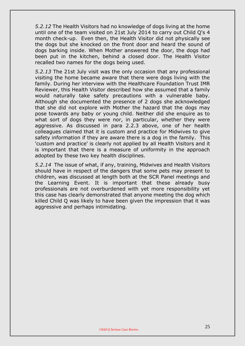*5.2.12* The Health Visitors had no knowledge of dogs living at the home until one of the team visited on 21st July 2014 to carry out Child Q's 4 month check-up. Even then, the Health Visitor did not physically see the dogs but she knocked on the front door and heard the sound of dogs barking inside. When Mother answered the door, the dogs had been put in the kitchen, behind a closed door. The Health Visitor recalled two names for the dogs being used.

*5.2.13* The 21st July visit was the only occasion that any professional visiting the home became aware that there were dogs living with the family. During her interview with the Healthcare Foundation Trust IMR Reviewer, this Health Visitor described how she assumed that a family would naturally take safety precautions with a vulnerable baby. Although she documented the presence of 2 dogs she acknowledged that she did not explore with Mother the hazard that the dogs may pose towards any baby or young child. Neither did she enquire as to what sort of dogs they were nor, in particular, whether they were aggressive. As discussed in para 2.2.3 above, one of her health colleagues claimed that it is custom and practice for Midwives to give safety information if they are aware there is a dog in the family. This 'custom and practice' is clearly not applied by all Health Visitors and it is important that there is a measure of uniformity in the approach adopted by these two key health disciplines.

*5.2.14* The issue of what, if any, training, Midwives and Health Visitors should have in respect of the dangers that some pets may present to children, was discussed at length both at the SCR Panel meetings and the Learning Event. It is important that these already busy professionals are not overburdened with yet more responsibility yet this case has clearly demonstrated that anyone meeting the dog which killed Child Q was likely to have been given the impression that it was aggressive and perhaps intimidating.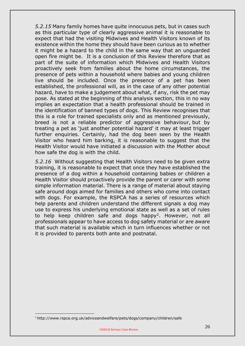*5.2.15* Many family homes have quite innocuous pets, but in cases such as this particular type of clearly aggressive animal it is reasonable to expect that had the visiting Midwives and Health Visitors known of its existence within the home they should have been curious as to whether it might be a hazard to the child in the same way that an unguarded open fire might be. It is a conclusion of this Review therefore that as part of the suite of information which Midwives and Health Visitors proactively seek from families about the home circumstances, the presence of pets within a household where babies and young children live should be included. Once the presence of a pet has been established, the professional will, as in the case of any other potential hazard, have to make a judgement about what, if any, risk the pet may pose. As stated at the beginning of this analysis section, this in no way implies an expectation that a health professional should be trained in the identification of banned types of dogs. This Review recognises that this is a role for trained specialists only and as mentioned previously, breed is not a reliable predictor of aggressive behaviour, but by treating a pet as 'just another potential hazard' it may at least trigger further enquiries. Certainly, had the dog been seen by the Health Visitor who heard him barking, it is reasonable to suggest that the Health Visitor would have initiated a discussion with the Mother about how safe the dog is with the child.

*5.2.16* Without suggesting that Health Visitors need to be given extra training, it is reasonable to expect that once they have established the presence of a dog within a household containing babies or children a Health Visitor should proactively provide the parent or carer with some simple information material. There is a range of material about staying safe around dogs aimed for families and others who come into contact with dogs. For example, the RSPCA has a series of resources which help parents and children understand the different signals a dog may use to express his underlying emotional state as well as a set of rules to help keep children safe and dogs happy<sup>2</sup>. However, not all professionals appear to have access to dog safety material or are aware that such material is available which in turn influences whether or not it is provided to parents both ante and postnatal.

<u>.</u>

<sup>2</sup> http://www.rspca.org.uk/adviceandwelfare/pets/dogs/company/children/safe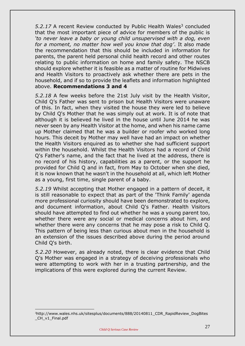5.2.17 A recent Review conducted by Public Health Wales<sup>3</sup> concluded that the most important piece of advice for members of the public is *'to never leave a baby or young child unsupervised with a dog, even for a moment, no matter how well you know that dog'*. It also made the recommendation that this should be included in information for parents, the parent held personal child health record and other routes relating to public information on home and family safety. The NSCB should explore whether it is feasible as a matter of routine for Midwives and Health Visitors to proactively ask whether there are pets in the household, and if so to provide the leaflets and information highlighted above. **Recommendations 3 and 4**

*5.2.18* A few weeks before the 21st July visit by the Health Visitor, Child Q's Father was sent to prison but Health Visitors were unaware of this. In fact, when they visited the house they were led to believe by Child Q's Mother that he was simply out at work. It is of note that although it is believed he lived in the house until June 2014 he was never seen by any Health Visitor at the home, and when his name came up Mother claimed that he was a builder or roofer who worked long hours. This deceit by Mother may well have had an impact on whether the Health Visitors enquired as to whether she had sufficient support within the household. Whilst the Health Visitors had a record of Child Q's Father's name, and the fact that he lived at the address, there is no record of his history, capabilities as a parent, or the support he provided for Child Q and in fact, from May to October when she died, it is now known that he wasn't in the household at all, which left Mother as a young, first time, single parent of a baby.

*5.2.19* Whilst accepting that Mother engaged in a pattern of deceit, it is still reasonable to expect that as part of the 'Think Family' agenda more professional curiosity should have been demonstrated to explore, and document information, about Child Q's Father. Health Visitors should have attempted to find out whether he was a young parent too, whether there were any social or medical concerns about him, and whether there were any concerns that he may pose a risk to Child Q. This pattern of being less than curious about men in the household is an extension of the issues described above during the period around Child Q's birth.

*5.2.20* However, as already noted, there is clear evidence that Child Q's Mother was engaged in a strategy of deceiving professionals who were attempting to work with her in a trusting partnership, and the implications of this were explored during the current Review.

<u>.</u>

<sup>3</sup>http://www.wales.nhs.uk/sitesplus/documents/888/20140811\_CDR\_RapidReview\_DogBites CH v1 Final.pdf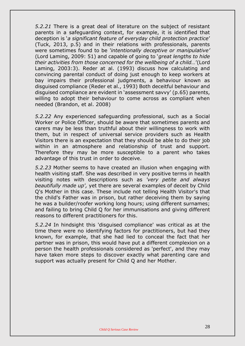*5.2.21* There is a great deal of literature on the subject of resistant parents in a safeguarding context, for example, it is identified that deception is '*a significant feature of everyday child protection practice*' (Tuck, 2013, p.5) and in their relations with professionals, parents were sometimes found to be *'intentionally deceptive or manipulative'*  (Lord Laming, 2009: 51) and capable of going to '*great lengths to hide their activities from those concerned for the wellbeing of a child…*'(Lord Laming, 2003:3). Reder at al. (1993) discuss how calculating and convincing parental conduct of doing just enough to keep workers at bay impairs their professional judgments, a behaviour known as disguised compliance (Reder et al., 1993) Both deceitful behaviour and disguised compliance are evident in 'assessment savvy' (p.65) parents, willing to adopt their behaviour to come across as compliant when needed (Brandon, et al. 2008)

*5.2.22* Any experienced safeguarding professional, such as a Social Worker or Police Officer, should be aware that sometimes parents and carers may be less than truthful about their willingness to work with them, but in respect of universal service providers such as Health Visitors there is an expectation that they should be able to do their job within in an atmosphere and relationship of trust and support. Therefore they may be more susceptible to a parent who takes advantage of this trust in order to deceive.

*5.2.23* Mother seems to have created an illusion when engaging with health visiting staff. She was described in very positive terms in health visiting notes with descriptions such as *'very petite and always beautifully made up',* yet there are several examples of deceit by Child Q's Mother in this case. These include not telling Health Visitor's that the child's Father was in prison, but rather deceiving them by saying he was a builder/roofer working long hours; using different surnames; and failing to bring Child Q for her immunisations and giving different reasons to different practitioners for this.

*5.2.24* In hindsight this 'disguised compliance' was critical as at the time there were no identifying factors for practitioners, but had they known, for example, that she had lied to conceal the fact that her partner was in prison, this would have put a different complexion on a person the health professionals considered as 'perfect', and they may have taken more steps to discover exactly what parenting care and support was actually present for Child Q and her Mother.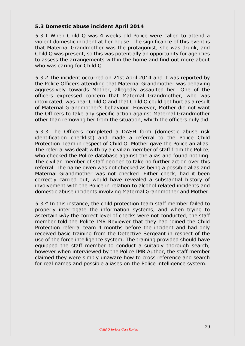#### **5.3 Domestic abuse incident April 2014**

*5.3.1* When Child Q was 4 weeks old Police were called to attend a violent domestic incident at her house. The significance of this event is that Maternal Grandmother was the protagonist, she was drunk, and Child Q was present, so this was potentially an opportunity for agencies to assess the arrangements within the home and find out more about who was caring for Child Q.

*5.3.2* The incident occurred on 21st April 2014 and it was reported by the Police Officers attending that Maternal Grandmother was behaving aggressively towards Mother, allegedly assaulted her. One of the officers expressed concern that Maternal Grandmother, who was intoxicated, was near Child Q and that Child Q could get hurt as a result of Maternal Grandmother's behaviour. However, Mother did not want the Officers to take any specific action against Maternal Grandmother other than removing her from the situation, which the officers duly did.

*5.3.3* The Officers completed a DASH form (domestic abuse risk identification checklist) and made a referral to the Police Child Protection Team in respect of Child Q. Mother gave the Police an alias. The referral was dealt with by a civilian member of staff from the Police, who checked the Police database against the alias and found nothing. The civilian member of staff decided to take no further action over this referral. The name given was not checked as being a possible alias and Maternal Grandmother was not checked. Either check, had it been correctly carried out, would have revealed a substantial history of involvement with the Police in relation to alcohol related incidents and domestic abuse incidents involving Maternal Grandmother and Mother.

*5.3.4* In this instance, the child protection team staff member failed to properly interrogate the information systems, and when trying to ascertain *why* the correct level of checks were not conducted, the staff member told the Police IMR Reviewer that they had joined the Child Protection referral team 4 months before the incident and had only received basic training from the Detective Sergeant in respect of the use of the force intelligence system. The training provided should have equipped the staff member to conduct a suitably thorough search, however when interviewed by the Police IMR Author, the staff member claimed they were simply unaware how to cross reference and search for real names and possible aliases on the Police intelligence system.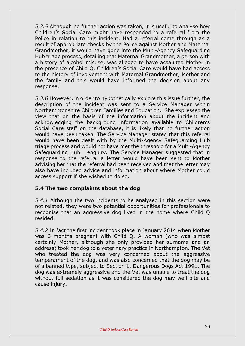*5.3.5* Although no further action was taken, it is useful to analyse how Children's Social Care might have responded to a referral from the Police in relation to this incident. Had a referral come through as a result of appropriate checks by the Police against Mother and Maternal Grandmother, it would have gone into the Multi-Agency Safeguarding Hub triage process, detailing that Maternal Grandmother, a person with a history of alcohol misuse, was alleged to have assaulted Mother in the presence of Child Q. Children's Social Care would have had access to the history of involvement with Maternal Grandmother, Mother and the family and this would have informed the decision about any response.

*5.3.6* However, in order to hypothetically explore this issue further, the description of the incident was sent to a Service Manager within Northamptonshire Children Families and Education. She expressed the view that on the basis of the information about the incident and acknowledging the background information available to Children's Social Care staff on the database, it is likely that no further action would have been taken. The Service Manager stated that this referral would have been dealt with by the Multi-Agency Safeguarding Hub triage process and would not have met the threshold for a Multi-Agency Safeguarding Hub enquiry. The Service Manager suggested that in response to the referral a letter would have been sent to Mother advising her that the referral had been received and that the letter may also have included advice and information about where Mother could access support if she wished to do so.

#### **5.4 The two complaints about the dog**

*5.4.1* Although the two incidents to be analysed in this section were not related, they were two potential opportunities for professionals to recognise that an aggressive dog lived in the home where Child Q resided.

*5.4.2* In fact the first incident took place in January 2014 when Mother was 6 months pregnant with Child Q. A woman (who was almost certainly Mother, although she only provided her surname and an address) took her dog to a veterinary practice in Northampton. The Vet who treated the dog was very concerned about the aggressive temperament of the dog, and was also concerned that the dog may be of a banned type, subject to Section 1, Dangerous Dogs Act 1991. The dog was extremely aggressive and the Vet was unable to treat the dog without full sedation as it was considered the dog may well bite and cause injury.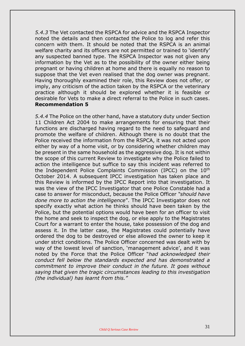*5.4.3* The Vet contacted the RSPCA for advice and the RSPCA Inspector noted the details and then contacted the Police to log and refer this concern with them. It should be noted that the RSPCA is an animal welfare charity and its officers are not permitted or trained to 'identify' any suspected banned type. The RSPCA Inspector was not given any information by the Vet as to the possibility of the owner either being pregnant or having children at home and there is equally no reason to suppose that the Vet even realised that the dog owner was pregnant. Having thoroughly examined their role, this Review does not offer, or imply, any criticism of the action taken by the RSPCA or the veterinary practice although it should be explored whether it is feasible or desirable for Vets to make a direct referral to the Police in such cases. **Recommendation 5**

*5.4.4* The Police on the other hand, have a statutory duty under Section 11 Children Act 2004 to make arrangements for ensuring that their functions are discharged having regard to the need to safeguard and promote the welfare of children. Although there is no doubt that the Police received the information from the RSPCA, it was not acted upon either by way of a home visit, or by considering whether children may be present in the same household as the aggressive dog. It is not within the scope of this current Review to investigate why the Police failed to action the intelligence but suffice to say this incident was referred to the Independent Police Complaints Commission (IPCC) on the 10<sup>th</sup> October 2014. A subsequent IPCC investigation has taken place and this Review is informed by the IPCC Report into that investigation. It was the view of the IPCC Investigator that one Police Constable had a case to answer for misconduct, because the Police Officer *"should have done more to action the intelligence*". The IPCC Investigator does not specify exactly what action he thinks should have been taken by the Police, but the potential options would have been for an officer to visit the home and seek to inspect the dog, or else apply to the Magistrates Court for a warrant to enter the house, take possession of the dog and assess it. In the latter case, the Magistrates could potentially have ordered the dog to be destroyed or else allowed the owner to keep it under strict conditions. The Police Officer concerned was dealt with by way of the lowest level of sanction, 'management advice', and it was noted by the Force that the Police Officer "*had acknowledged their conduct fell below the standards expected and has demonstrated a commitment to improve their conduct in the future. It goes without saying that given the tragic circumstances leading to this investigation (the individual) has learnt from this."*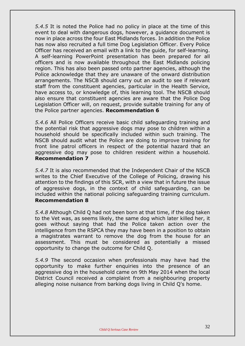*5.4.5* It is noted the Police had no policy in place at the time of this event to deal with dangerous dogs, however, a guidance document is now in place across the four East Midlands forces. In addition the Police has now also recruited a full time Dog Legislation Officer. Every Police Officer has received an email with a link to the guide, for self-learning. A self-learning PowerPoint presentation has been prepared for all officers and is now available throughout the East Midlands policing region. This has also been passed onto partner agencies, although the Police acknowledge that they are unaware of the onward distribution arrangements. The NSCB should carry out an audit to see if relevant staff from the constituent agencies, particular in the Health Service, have access to, or knowledge of, this learning tool. The NSCB should also ensure that constituent agencies are aware that the Police Dog Legislation Officer will, on request, provide suitable training for any of the Police partner agencies. **Recommendation 6**

*5.4.6* All Police Officers receive basic child safeguarding training and the potential risk that aggressive dogs may pose to children within a household should be specifically included within such training. The NSCB should audit what the Police are doing to improve training for front line patrol officers in respect of the potential hazard that an aggressive dog may pose to children resident within a household. **Recommendation 7**

*5.4.7* It is also recommended that the Independent Chair of the NSCB writes to the Chief Executive of the College of Policing, drawing his attention to the findings of this SCR, with a view that in future the issue of aggressive dogs, in the context of child safeguarding, can be included within the national policing safeguarding training curriculum. **Recommendation 8**

*5.4.8* Although Child Q had not been born at that time, if the dog taken to the Vet was, as seems likely, the same dog which later killed her, it goes without saying that had the Police taken action over the intelligence from the RSPCA they may have been in a position to obtain a magistrates warrant to remove the dog from the house for an assessment. This must be considered as potentially a missed opportunity to change the outcome for Child Q.

*5.4.9* The second occasion when professionals may have had the opportunity to make further enquiries into the presence of an aggressive dog in the household came on 9th May 2014 when the local District Council received a complaint from a neighbouring property alleging noise nuisance from barking dogs living in Child Q's home.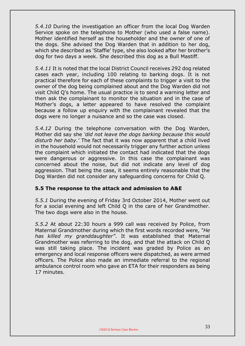*5.4.10* During the investigation an officer from the local Dog Warden Service spoke on the telephone to Mother (who used a false name). Mother identified herself as the householder and the owner of one of the dogs. She advised the Dog Warden that in addition to her dog, which she described as 'Staffie' type, she also looked after her brother's dog for two days a week. She described this dog as a Bull Mastiff.

*5.4.11* It is noted that the local District Council receives 292 dog related cases each year, including 100 relating to barking dogs. It is not practical therefore for each of these complaints to trigger a visit to the owner of the dog being complained about and the Dog Warden did not visit Child Q's home. The usual practice is to send a warning letter and then ask the complainant to monitor the situation and in the case of Mother's dogs, a letter appeared to have resolved the complaint because a follow up enquiry with the complainant revealed that the dogs were no longer a nuisance and so the case was closed.

*5.4.12* During the telephone conversation with the Dog Warden, Mother did say she *'did not leave the dogs barking because this would disturb her baby.'* The fact that it was now apparent that a child lived in the household would not necessarily trigger any further action unless the complaint which initiated the contact had indicated that the dogs were dangerous or aggressive. In this case the complainant was concerned about the noise, but did not indicate any level of dog aggression. That being the case, it seems entirely reasonable that the Dog Warden did not consider any safeguarding concerns for Child Q.

#### **5.5 The response to the attack and admission to A&E**

*5.5.1* During the evening of Friday 3rd October 2014, Mother went out for a social evening and left Child Q in the care of her Grandmother. The two dogs were also in the house.

*5.5.2* At about 22:30 hours a 999 call was received by Police, from Maternal Grandmother during which the first words recorded were, *"He has killed my granddaughter"*. It was established that Maternal Grandmother was referring to the dog, and that the attack on Child Q was still taking place. The incident was graded by Police as an emergency and local response officers were dispatched, as were armed officers. The Police also made an immediate referral to the regional ambulance control room who gave an ETA for their responders as being 17 minutes.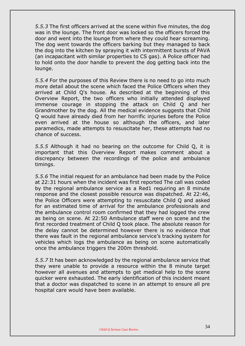*5.5.3* The first officers arrived at the scene within five minutes, the dog was in the lounge. The front door was locked so the officers forced the door and went into the lounge from where they could hear screaming. The dog went towards the officers barking but they managed to back the dog into the kitchen by spraying it with intermittent bursts of PAVA (an incapacitant with similar properties to CS gas). A Police officer had to hold onto the door handle to prevent the dog getting back into the lounge.

*5.5.4* For the purposes of this Review there is no need to go into much more detail about the scene which faced the Police Officers when they arrived at Child Q's house. As described at the beginning of this Overview Report, the two officers who initially attended displayed immense courage in stopping the attack on Child Q and her Grandmother by the dog. All the medical evidence suggests that Child Q would have already died from her horrific injuries before the Police even arrived at the house so although the officers, and later paramedics, made attempts to resuscitate her, these attempts had no chance of success.

*5.5.5* Although it had no bearing on the outcome for Child Q, it is important that this Overview Report makes comment about a discrepancy between the recordings of the police and ambulance timings.

*5.5.6* The initial request for an ambulance had been made by the Police at 22:31 hours when the incident was first reported The call was coded by the regional ambulance service as a Red1 requiring an 8 minute response and the closest possible resource was dispatched. At 22:46, the Police Officers were attempting to resuscitate Child Q and asked for an estimated time of arrival for the ambulance professionals and the ambulance control room confirmed that they had logged the crew as being on scene. At 22:50 Ambulance staff were on scene and the first recorded treatment of Child Q took place. The absolute reason for the delay cannot be determined however there is no evidence that there was fault in the regional ambulance service's tracking system for vehicles which logs the ambulance as being on scene automatically once the ambulance triggers the 200m threshold.

*5.5.7* It has been acknowledged by the regional ambulance service that they were unable to provide a resource within the 8 minute target however all avenues and attempts to get medical help to the scene quicker were exhausted. The early identification of this incident meant that a doctor was dispatched to scene in an attempt to ensure all pre hospital care would have been available.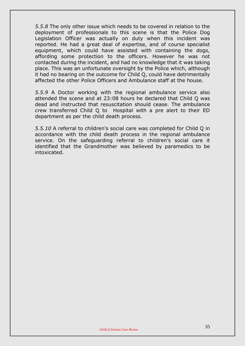*5.5.8* The only other issue which needs to be covered in relation to the deployment of professionals to this scene is that the Police Dog Legislation Officer was actually on duty when this incident was reported. He had a great deal of expertise, and of course specialist equipment, which could have assisted with containing the dogs, affording some protection to the officers. However he was not contacted during the incident, and had no knowledge that it was taking place. This was an unfortunate oversight by the Police which, although it had no bearing on the outcome for Child Q, could have detrimentally affected the other Police Officers and Ambulance staff at the house.

*5.5.9* A Doctor working with the regional ambulance service also attended the scene and at 23:08 hours he declared that Child Q was dead and instructed that resuscitation should cease. The ambulance crew transferred Child Q to Hospital with a pre alert to their ED department as per the child death process.

*5.5.10* A referral to children's social care was completed for Child Q in accordance with the child death process in the regional ambulance service. On the safeguarding referral to children's social care it identified that the Grandmother was believed by paramedics to be intoxicated.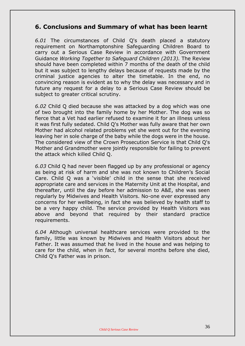# **6. Conclusions and Summary of what has been learnt**

*6.01* The circumstances of Child Q's death placed a statutory requirement on Northamptonshire Safeguarding Children Board to carry out a Serious Case Review in accordance with Government Guidance *Working Together to Safeguard Children (2013).* The Review should have been completed within 7 months of the death of the child but it was subject to lengthy delays because of requests made by the criminal justice agencies to alter the timetable. In the end, no convincing reason is evident as to why the delay was necessary and in future any request for a delay to a Serious Case Review should be subject to greater critical scrutiny.

*6.02* Child Q died because she was attacked by a dog which was one of two brought into the family home by her Mother. The dog was so fierce that a Vet had earlier refused to examine it for an illness unless it was first fully sedated. Child Q's Mother was fully aware that her own Mother had alcohol related problems yet she went out for the evening leaving her in sole charge of the baby while the dogs were in the house. The considered view of the Crown Prosecution Service is that Child Q's Mother and Grandmother were jointly responsible for failing to prevent the attack which killed Child Q.

*6.03* Child Q had never been flagged up by any professional or agency as being at risk of harm and she was not known to Children's Social Care. Child Q was a 'visible' child in the sense that she received appropriate care and services in the Maternity Unit at the Hospital, and thereafter, until the day before her admission to A&E, she was seen regularly by Midwives and Health Visitors. No-one ever expressed any concerns for her wellbeing, in fact she was believed by health staff to be a very happy child. The service provided by Health Visitors was above and beyond that required by their standard practice requirements.

*6.04* Although universal healthcare services were provided to the family, little was known by Midwives and Health Visitors about her Father. It was assumed that he lived in the house and was helping to care for the child, when in fact, for several months before she died, Child Q's Father was in prison.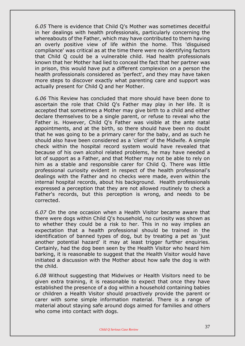*6.05* There is evidence that Child Q's Mother was sometimes deceitful in her dealings with health professionals, particularly concerning the whereabouts of the Father, which may have contributed to them having an overly positive view of life within the home. This 'disguised compliance' was critical as at the time there were no identifying factors that Child Q could be a vulnerable child. Had health professionals known that her Mother had lied to conceal the fact that her partner was in prison, this would have put a different complexion on a person the health professionals considered as 'perfect', and they may have taken more steps to discover exactly what parenting care and support was actually present for Child Q and her Mother.

*6.06* This Review has concluded that more should have been done to ascertain the role that Child Q's Father may play in her life. It is accepted that sometimes a Mother may give birth to a child and either declare themselves to be a single parent, or refuse to reveal who the Father is. However, Child Q's Father was visible at the ante natal appointments, and at the birth, so there should have been no doubt that he was going to be a primary carer for the baby, and as such he should also have been considered as a 'client' of the Midwife. A simple check within the hospital record system would have revealed that because of his own alcohol related problems, he may have needed a lot of support as a Father, and that Mother may not be able to rely on him as a stable and responsible carer for Child Q. There was little professional curiosity evident in respect of the health professional's dealings with the Father and no checks were made, even within the internal hospital records, about his background. Health professionals expressed a perception that they are not allowed routinely to check a Father's records, but this perception is wrong, and needs to be corrected.

*6.07* On the one occasion when a Health Visitor became aware that there were dogs within Child Q's household, no curiosity was shown as to whether they could be a risk to her. This in no way implies an expectation that a health professional should be trained in the identification of banned types of dog, but by treating a pet as 'just another potential hazard' it may at least trigger further enquiries. Certainly, had the dog been seen by the Health Visitor who heard him barking, it is reasonable to suggest that the Health Visitor would have initiated a discussion with the Mother about how safe the dog is with the child.

*6.08* Without suggesting that Midwives or Health Visitors need to be given extra training, it is reasonable to expect that once they have established the presence of a dog within a household containing babies or children a Health Visitor should proactively provide the parent or carer with some simple information material. There is a range of material about staying safe around dogs aimed for families and others who come into contact with dogs.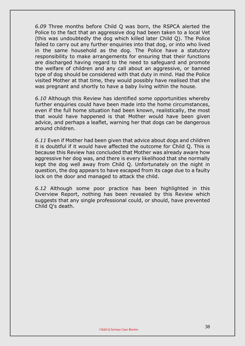*6.09* Three months before Child Q was born, the RSPCA alerted the Police to the fact that an aggressive dog had been taken to a local Vet (this was undoubtedly the dog which killed later Child Q). The Police failed to carry out any further enquiries into that dog, or into who lived in the same household as the dog. The Police have a statutory responsibility to make arrangements for ensuring that their functions are discharged having regard to the need to safeguard and promote the welfare of children and any call about an aggressive, or banned type of dog should be considered with that duty in mind. Had the Police visited Mother at that time, they would possibly have realised that she was pregnant and shortly to have a baby living within the house.

*6.10* Although this Review has identified some opportunities whereby further enquiries could have been made into the home circumstances, even if the full home situation had been known, realistically, the most that would have happened is that Mother would have been given advice, and perhaps a leaflet, warning her that dogs can be dangerous around children.

*6.11* Even if Mother had been given that advice about dogs and children it is doubtful if it would have affected the outcome for Child Q. This is because this Review has concluded that Mother was already aware how aggressive her dog was, and there is every likelihood that she normally kept the dog well away from Child Q. Unfortunately on the night in question, the dog appears to have escaped from its cage due to a faulty lock on the door and managed to attack the child.

*6.12* Although some poor practice has been highlighted in this Overview Report, nothing has been revealed by this Review which suggests that any single professional could, or should, have prevented Child Q's death.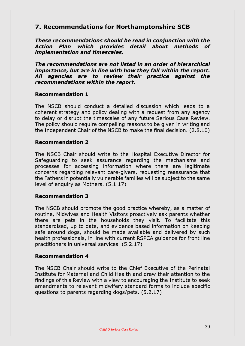# **7. Recommendations for Northamptonshire SCB**

*These recommendations should be read in conjunction with the Action Plan which provides detail about methods of implementation and timescales.*

*The recommendations are not listed in an order of hierarchical importance, but are in line with how they fall within the report. All agencies are to review their practice against the recommendations within the report.*

#### **Recommendation 1**

The NSCB should conduct a detailed discussion which leads to a coherent strategy and policy dealing with a request from any agency to delay or disrupt the timescales of any future Serious Case Review. The policy should require compelling reasons to be given in writing and the Independent Chair of the NSCB to make the final decision. (2.8.10)

#### **Recommendation 2**

The NSCB Chair should write to the Hospital Executive Director for Safeguarding to seek assurance regarding the mechanisms and processes for accessing information where there are legitimate concerns regarding relevant care-givers, requesting reassurance that the Fathers in potentially vulnerable families will be subject to the same level of enquiry as Mothers. (5.1.17)

#### **Recommendation 3**

The NSCB should promote the good practice whereby, as a matter of routine, Midwives and Health Visitors proactively ask parents whether there are pets in the households they visit. To facilitate this standardised, up to date, and evidence based information on keeping safe around dogs, should be made available and delivered by such health professionals, in line with current RSPCA guidance for front line practitioners in universal services. (5.2.17)

#### **Recommendation 4**

The NSCB Chair should write to the Chief Executive of the Perinatal Institute for Maternal and Child Health and draw their attention to the findings of this Review with a view to encouraging the Institute to seek amendments to relevant midwifery standard forms to include specific questions to parents regarding dogs/pets. (5.2.17)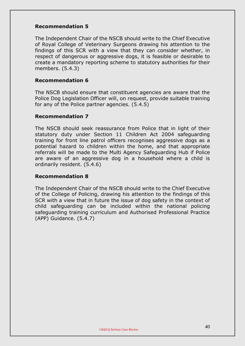#### **Recommendation 5**

The Independent Chair of the NSCB should write to the Chief Executive of Royal College of Veterinary Surgeons drawing his attention to the findings of this SCR with a view that they can consider whether, in respect of dangerous or aggressive dogs, it is feasible or desirable to create a mandatory reporting scheme to statutory authorities for their members. (5.4.3)

#### **Recommendation 6**

The NSCB should ensure that constituent agencies are aware that the Police Dog Legislation Officer will, on request, provide suitable training for any of the Police partner agencies. (5.4.5)

#### **Recommendation 7**

The NSCB should seek reassurance from Police that in light of their statutory duty under Section 11 Children Act 2004 safeguarding training for front line patrol officers recognises aggressive dogs as a potential hazard to children within the home, and that appropriate referrals will be made to the Multi Agency Safeguarding Hub if Police are aware of an aggressive dog in a household where a child is ordinarily resident. (5.4.6)

#### **Recommendation 8**

The Independent Chair of the NSCB should write to the Chief Executive of the College of Policing, drawing his attention to the findings of this SCR with a view that in future the issue of dog safety in the context of child safeguarding can be included within the national policing safeguarding training curriculum and Authorised Professional Practice (APP) Guidance. (5.4.7)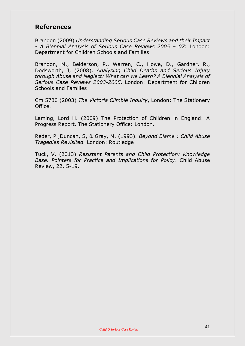# **References**

Brandon (2009) *Understanding Serious Case Reviews and their Impact - A Biennial Analysis of Serious Case Reviews 2005 – 07*: London: Department for Children Schools and Families

Brandon, M., Belderson, P., Warren, C., Howe, D., Gardner, R., Dodsworth, J, (2008). *Analysing Child Deaths and Serious Injury through Abuse and Neglect: What can we Learn? A Biennial Analysis of Serious Case Reviews 2003-2005*. London: Department for Children Schools and Families

Cm 5730 (2003) *The Victoria Climbié Inquiry*, London: The Stationery Office.

Laming, Lord H. (2009) The Protection of Children in England: A Progress Report. The Stationery Office: London.

Reder, P ,Duncan, S, & Gray, M. (1993). *Beyond Blame : Child Abuse Tragedies Revisited.* London: Routledge

Tuck, V. (2013) *Resistant Parents and Child Protection: Knowledge Base, Pointers for Practice and Implications for Policy*. Child Abuse Review, 22, 5-19.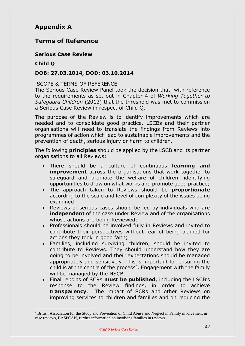# **Appendix A**

# **Terms of Reference**

**Serious Case Review**

### **Child Q**

<u>.</u>

#### **DOB: 27.03.2014, DOD: 03.10.2014**

#### SCOPE & TERMS OF REFERENCE

The Serious Case Review Panel took the decision that, with reference to the requirements as set out in Chapter 4 of *Working Together to Safeguard Children* (2013) that the threshold was met to commission a Serious Case Review in respect of Child Q.

The purpose of the Review is to identify improvements which are needed and to consolidate good practice. LSCBs and their partner organisations will need to translate the findings from Reviews into programmes of action which lead to sustainable improvements and the prevention of death, serious injury or harm to children.

The following **principles** should be applied by the LSCB and its partner organisations to all Reviews:

- There should be a culture of continuous **learning and improvement** across the organisations that work together to safeguard and promote the welfare of children, identifying opportunities to draw on what works and promote good practice;
- The approach taken to Reviews should be **proportionate** according to the scale and level of complexity of the issues being examined;
- Reviews of serious cases should be led by individuals who are **independent** of the case under Review and of the organisations whose actions are being Reviewed;
- Professionals should be involved fully in Reviews and invited to contribute their perspectives without fear of being blamed for actions they took in good faith;
- Families, including surviving children, should be invited to contribute to Reviews. They should understand how they are going to be involved and their expectations should be managed appropriately and sensitively. This is important for ensuring the child is at the centre of the process<sup>4</sup>. Engagement with the family will be managed by the NSCB.
- Final reports of SCRs **must be published**, including the LSCB's response to the Review findings, in order to achieve **transparency**. The impact of SCRs and other Reviews on improving services to children and families and on reducing the

<sup>4</sup> British Association for the Study and Prevention of Child Abuse and Neglect in Family involvement in case reviews, BASPCAN, further information on involving families in reviews.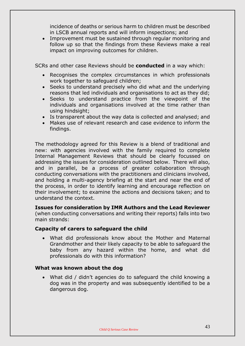incidence of deaths or serious harm to children must be described in LSCB annual reports and will inform inspections; and

 Improvement must be sustained through regular monitoring and follow up so that the findings from these Reviews make a real impact on improving outcomes for children.

SCRs and other case Reviews should be **conducted** in a way which:

- Recognises the complex circumstances in which professionals work together to safeguard children;
- Seeks to understand precisely who did what and the underlying reasons that led individuals and organisations to act as they did;
- Seeks to understand practice from the viewpoint of the individuals and organisations involved at the time rather than using hindsight;
- Is transparent about the way data is collected and analysed; and
- Makes use of relevant research and case evidence to inform the findings.

The methodology agreed for this Review is a blend of traditional and new: with agencies involved with the family required to complete Internal Management Reviews that should be clearly focussed on addressing the issues for consideration outlined below. There will also, and in parallel, be a process of greater collaboration through conducting conversations with the practitioners and clinicians involved, and holding a multi-agency briefing at the start and near the end of the process, in order to identify learning and encourage reflection on their involvement; to examine the actions and decisions taken; and to understand the context.

**Issues for consideration by IMR Authors and the Lead Reviewer** (when conducting conversations and writing their reports) falls into two main strands:

# **Capacity of carers to safeguard the child**

 What did professionals know about the Mother and Maternal Grandmother and their likely capacity to be able to safeguard the baby from any hazard within the home, and what did professionals do with this information?

# **What was known about the dog**

 What did / didn't agencies do to safeguard the child knowing a dog was in the property and was subsequently identified to be a dangerous dog.